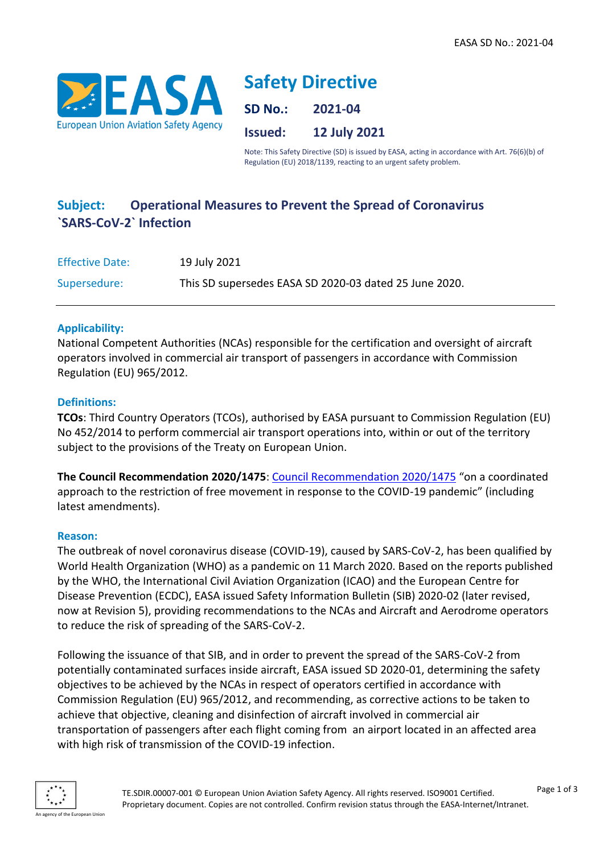

# **Safety Directive**

**SD No.: 2021-04**

**Issued: 12 July 2021**

Note: This Safety Directive (SD) is issued by EASA, acting in accordance with Art. 76(6)(b) of Regulation (EU) 2018/1139, reacting to an urgent safety problem.

# **Subject: Operational Measures to Prevent the Spread of Coronavirus `SARS-CoV-2` Infection**

| <b>Effective Date:</b> | 19 July 2021                                           |
|------------------------|--------------------------------------------------------|
| Supersedure:           | This SD supersedes EASA SD 2020-03 dated 25 June 2020. |

#### **Applicability:**

National Competent Authorities (NCAs) responsible for the certification and oversight of aircraft operators involved in commercial air transport of passengers in accordance with Commission Regulation (EU) 965/2012.

## **Definitions:**

**TCOs**: Third Country Operators (TCOs), authorised by EASA pursuant to Commission Regulation (EU) No 452/2014 to perform commercial air transport operations into, within or out of the territory subject to the provisions of the Treaty on European Union.

**The Council Recommendation 2020/1475**: [Council Recommendation 2020/1475](https://eur-lex.europa.eu/legal-content/EN/TXT/?qid=1602661353609&uri=CELEX:32020H1475) "on a coordinated approach to the restriction of free movement in response to the COVID-19 pandemic" (including latest amendments).

#### **Reason:**

The outbreak of novel coronavirus disease (COVID-19), caused by SARS-CoV-2, has been qualified by World Health Organization (WHO) as a pandemic on 11 March 2020. Based on the reports published by the WHO, the International Civil Aviation Organization (ICAO) and the European Centre for Disease Prevention (ECDC), EASA issued Safety Information Bulletin (SIB) 2020-02 (later revised, now at Revision 5), providing recommendations to the NCAs and Aircraft and Aerodrome operators to reduce the risk of spreading of the SARS-CoV-2.

Following the issuance of that SIB, and in order to prevent the spread of the SARS-CoV-2 from potentially contaminated surfaces inside aircraft, EASA issued SD 2020-01, determining the safety objectives to be achieved by the NCAs in respect of operators certified in accordance with Commission Regulation (EU) 965/2012, and recommending, as corrective actions to be taken to achieve that objective, cleaning and disinfection of aircraft involved in commercial air transportation of passengers after each flight coming from an airport located in an affected area with high risk of transmission of the COVID-19 infection.

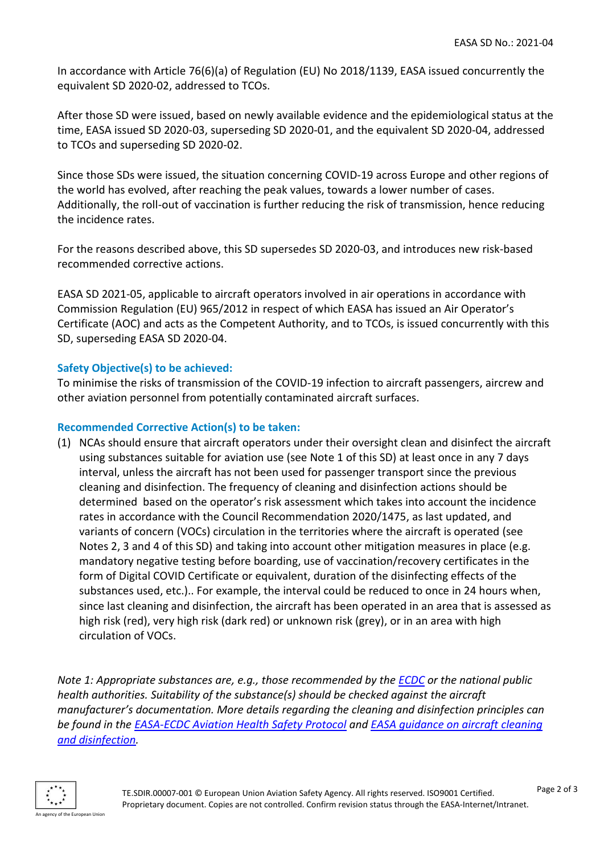In accordance with Article 76(6)(a) of Regulation (EU) No 2018/1139, EASA issued concurrently the equivalent SD 2020-02, addressed to TCOs.

After those SD were issued, based on newly available evidence and the epidemiological status at the time, EASA issued SD 2020-03, superseding SD 2020-01, and the equivalent SD 2020-04, addressed to TCOs and superseding SD 2020-02.

Since those SDs were issued, the situation concerning COVID-19 across Europe and other regions of the world has evolved, after reaching the peak values, towards a lower number of cases. Additionally, the roll-out of vaccination is further reducing the risk of transmission, hence reducing the incidence rates.

For the reasons described above, this SD supersedes SD 2020-03, and introduces new risk-based recommended corrective actions.

EASA SD 2021-05, applicable to aircraft operators involved in air operations in accordance with Commission Regulation (EU) 965/2012 in respect of which EASA has issued an Air Operator's Certificate (AOC) and acts as the Competent Authority, and to TCOs, is issued concurrently with this SD, superseding EASA SD 2020-04.

## **Safety Objective(s) to be achieved:**

To minimise the risks of transmission of the COVID-19 infection to aircraft passengers, aircrew and other aviation personnel from potentially contaminated aircraft surfaces.

#### **Recommended Corrective Action(s) to be taken:**

(1) NCAs should ensure that aircraft operators under their oversight clean and disinfect the aircraft using substances suitable for aviation use (see Note 1 of this SD) at least once in any 7 days interval, unless the aircraft has not been used for passenger transport since the previous cleaning and disinfection. The frequency of cleaning and disinfection actions should be determined based on the operator's risk assessment which takes into account the incidence rates in accordance with the Council Recommendation 2020/1475, as last updated, and variants of concern (VOCs) circulation in the territories where the aircraft is operated (see Notes 2, 3 and 4 of this SD) and taking into account other mitigation measures in place (e.g. mandatory negative testing before boarding, use of vaccination/recovery certificates in the form of Digital COVID Certificate or equivalent, duration of the disinfecting effects of the substances used, etc.).. For example, the interval could be reduced to once in 24 hours when, since last cleaning and disinfection, the aircraft has been operated in an area that is assessed as high risk (red), very high risk (dark red) or unknown risk (grey), or in an area with high circulation of VOCs.

*Note 1: Appropriate substances are, e.g., those recommended by the [ECDC](https://www.ecdc.europa.eu/en/publications-data/disinfection-environments-covid-19) or the national public health authorities. Suitability of the substance(s) should be checked against the aircraft manufacturer's documentation. More details regarding the cleaning and disinfection principles can be found in the [EASA-ECDC Aviation Health Safety Protocol](https://www.easa.europa.eu/document-library/general-publications/covid-19-aviation-health-safety-protocol) and [EASA guidance on aircraft cleaning](https://www.easa.europa.eu/document-library/general-publications/guidance-aircraft-cleaning-and-disinfection)  [and disinfection.](https://www.easa.europa.eu/document-library/general-publications/guidance-aircraft-cleaning-and-disinfection)*